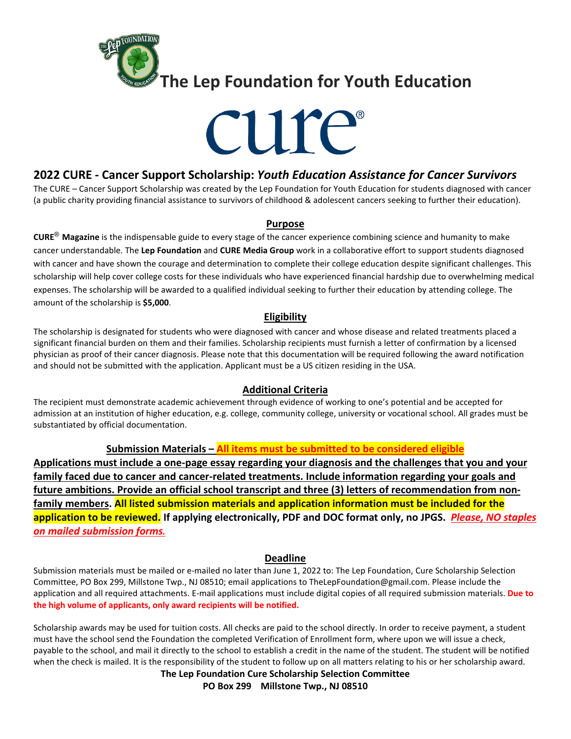

# cure

# **2022 CURE - Cancer Support Scholarship:** *Youth Education Assistance for Cancer Survivors*

The CURE – Cancer Support Scholarship was created by the Lep Foundation for Youth Education for students diagnosed with cancer (a public charity providing financial assistance to survivors of childhood & adolescent cancers seeking to further their education).

#### **Purpose**

**CURE**® **Magazine** is the indispensable guide to every stage of the cancer experience combining science and humanity to make cancer understandable. The **Lep Foundation** and **CURE Media Group** work in a collaborative effort to support students diagnosed with cancer and have shown the courage and determination to complete their college education despite significant challenges. This scholarship will help cover college costs for these individuals who have experienced financial hardship due to overwhelming medical expenses. The scholarship will be awarded to a qualified individual seeking to further their education by attending college. The amount of the scholarship is **\$5,000**.

## **Eligibility**

The scholarship is designated for students who were diagnosed with cancer and whose disease and related treatments placed a significant financial burden on them and their families. Scholarship recipients must furnish a letter of confirmation by a licensed physician as proof of their cancer diagnosis. Please note that this documentation will be required following the award notification and should not be submitted with the application. Applicant must be a US citizen residing in the USA.

## **Additional Criteria**

The recipient must demonstrate academic achievement through evidence of working to one's potential and be accepted for admission at an institution of higher education, e.g. college, community college, university or vocational school. All grades must be substantiated by official documentation.

## **Submission Materials – All items must be submitted to be considered eligible**

**Applications must include a one-page essay regarding your diagnosis and the challenges that you and your family faced due to cancer and cancer-related treatments. Include information regarding your goals and future ambitions. Provide an official school transcript and three (3) letters of recommendation from nonfamily members. All listed submission materials and application information must be included for the application to be reviewed. If applying electronically, PDF and DOC format only, no JPGS.** *Please, NO staples on mailed submission forms.*

## **Deadline**

Submission materials must be mailed or e-mailed no later than June 1, 2022 to: The Lep Foundation, Cure Scholarship Selection Committee, PO Box 299, Millstone Twp., NJ 08510; email applications to TheLepFoundation@gmail.com. Please include the application and all required attachments. E-mail applications must include digital copies of all required submission materials. **Due to the high volume of applicants, only award recipients will be notified.** 

Scholarship awards may be used for tuition costs. All checks are paid to the school directly. In order to receive payment, a student must have the school send the Foundation the completed Verification of Enrollment form, where upon we will issue a check, payable to the school, and mail it directly to the school to establish a credit in the name of the student. The student will be notified when the check is mailed. It is the responsibility of the student to follow up on all matters relating to his or her scholarship award.

#### **The Lep Foundation Cure Scholarship Selection Committee**

**PO Box 299 Millstone Twp., NJ 08510**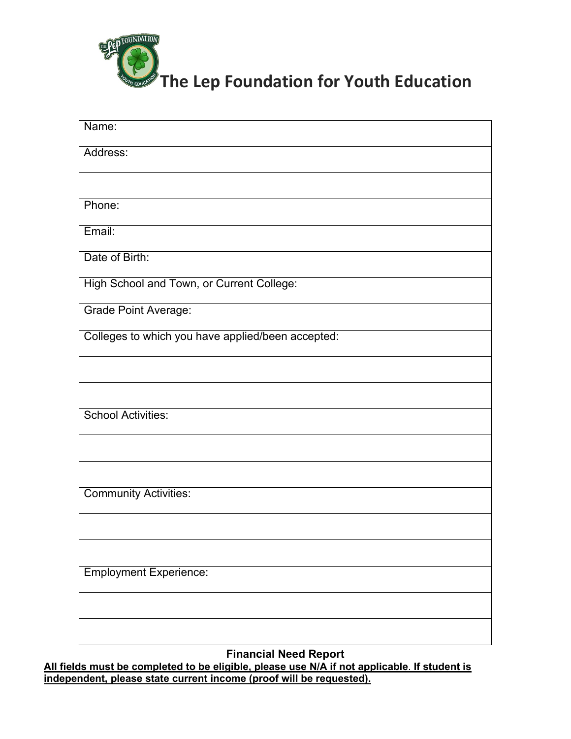

| Name:                                             |
|---------------------------------------------------|
| Address:                                          |
|                                                   |
| Phone:                                            |
| Email:                                            |
| Date of Birth:                                    |
| High School and Town, or Current College:         |
| <b>Grade Point Average:</b>                       |
| Colleges to which you have applied/been accepted: |
|                                                   |
|                                                   |
| <b>School Activities:</b>                         |
|                                                   |
|                                                   |
| <b>Community Activities:</b>                      |
|                                                   |
|                                                   |
| <b>Employment Experience:</b>                     |
|                                                   |
|                                                   |

**Financial Need Report**

**All fields must be completed to be eligible, please use N/A if not applicable**. **If student is independent, please state current income (proof will be requested).**